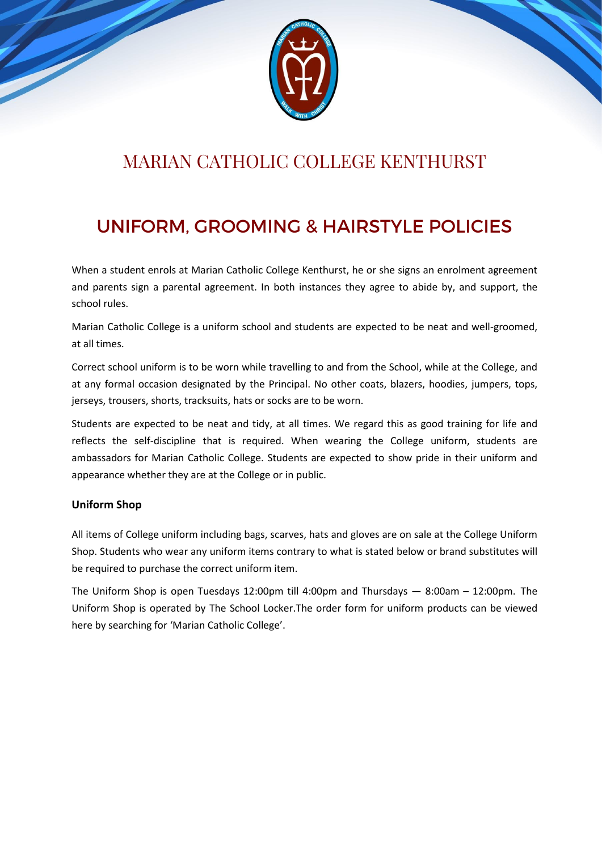

# MARIAN CATHOLIC COLLEGE KENTHURST

# UNIFORM, GROOMING & HAIRSTYLE POLICIES

When a student enrols at Marian Catholic College Kenthurst, he or she signs an enrolment agreement and parents sign a parental agreement. In both instances they agree to abide by, and support, the school rules.

Marian Catholic College is a uniform school and students are expected to be neat and well-groomed, at all times.

Correct school uniform is to be worn while travelling to and from the School, while at the College, and at any formal occasion designated by the Principal. No other coats, blazers, hoodies, jumpers, tops, jerseys, trousers, shorts, tracksuits, hats or socks are to be worn.

Students are expected to be neat and tidy, at all times. We regard this as good training for life and reflects the self-discipline that is required. When wearing the College uniform, students are ambassadors for Marian Catholic College. Students are expected to show pride in their uniform and appearance whether they are at the College or in public.

#### **Uniform Shop**

All items of College uniform including bags, scarves, hats and gloves are on sale at the College Uniform Shop. Students who wear any uniform items contrary to what is stated below or brand substitutes will be required to purchase the correct uniform item.

The Uniform Shop is open Tuesdays 12:00pm till 4:00pm and Thursdays — 8:00am – 12:00pm. The Uniform Shop is operated by The School Locker.The order form for uniform products can be viewed here by searching for 'Marian Catholic College'.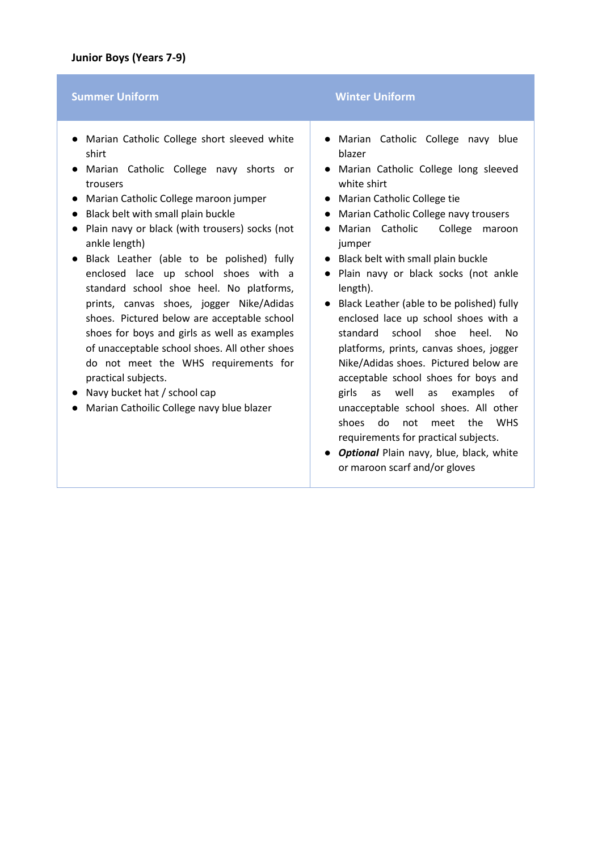#### **Summer Uniform <b>Winter Uniform Winter Uniform**

- Marian Catholic College short sleeved white shirt
- Marian Catholic College navy shorts or trousers
- Marian Catholic College maroon jumper
- Black belt with small plain buckle
- Plain navy or black (with trousers) socks (not ankle length)
- Black Leather (able to be polished) fully enclosed lace up school shoes with a standard school shoe heel. No platforms, prints, canvas shoes, jogger Nike/Adidas shoes. Pictured below are acceptable school shoes for boys and girls as well as examples of unacceptable school shoes. All other shoes do not meet the WHS requirements for practical subjects.
- Navy bucket hat / school cap
- Marian Cathoilic College navy blue blazer

- Marian Catholic College navy blue blazer
- Marian Catholic College long sleeved white shirt
- Marian Catholic College tie
- Marian Catholic College navy trousers
- Marian Catholic College maroon jumper
- Black belt with small plain buckle
- Plain navy or black socks (not ankle length).
- Black Leather (able to be polished) fully enclosed lace up school shoes with a standard school shoe heel. No platforms, prints, canvas shoes, jogger Nike/Adidas shoes. Pictured below are acceptable school shoes for boys and girls as well as examples of unacceptable school shoes. All other shoes do not meet the WHS requirements for practical subjects.
- *Optional* Plain navy, blue, black, white or maroon scarf and/or gloves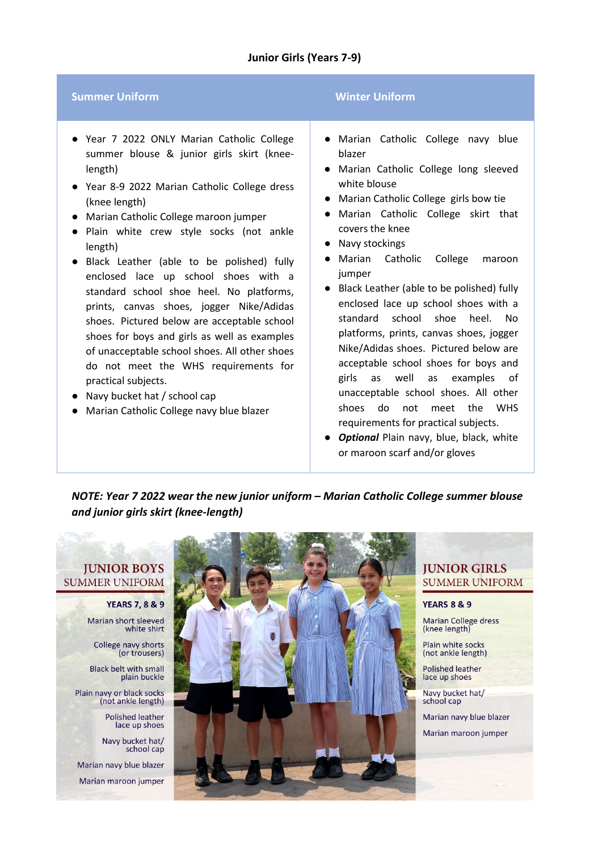#### **Junior Girls (Years 7-9)**

#### **Summer Uniform Winter Uniform**

- Year 7 2022 ONLY Marian Catholic College summer blouse & junior girls skirt (kneelength)
- Year 8-9 2022 Marian Catholic College dress (knee length)
- Marian Catholic College maroon jumper
- Plain white crew style socks (not ankle length)
- Black Leather (able to be polished) fully enclosed lace up school shoes with a standard school shoe heel. No platforms, prints, canvas shoes, jogger Nike/Adidas shoes. Pictured below are acceptable school shoes for boys and girls as well as examples of unacceptable school shoes. All other shoes do not meet the WHS requirements for practical subjects.
- Navy bucket hat / school cap
- Marian Catholic College navy blue blazer

- Marian Catholic College navy blue blazer
- Marian Catholic College long sleeved white blouse
- Marian Catholic College girls bow tie
- Marian Catholic College skirt that covers the knee
- Navy stockings
- Marian Catholic College maroon jumper
- Black Leather (able to be polished) fully enclosed lace up school shoes with a standard school shoe heel. No platforms, prints, canvas shoes, jogger Nike/Adidas shoes. Pictured below are acceptable school shoes for boys and girls as well as examples of unacceptable school shoes. All other shoes do not meet the WHS requirements for practical subjects.
- *Optional* Plain navy, blue, black, white or maroon scarf and/or gloves

*NOTE: Year 7 2022 wear the new junior uniform – Marian Catholic College summer blouse and junior girls skirt (knee-length)*

## **JUNIOR BOYS SUMMER UNIFORM**

**YEARS 7, 8 & 9** Marian short sleeved white shirt

College navy shorts (or trousers)

**Black belt with small** plain buckle

Plain navy or black socks (not ankle length)

> **Polished leather** lace up shoes

Navy bucket hat/ school cap

Marian navy blue blazer

Marian maroon jumper



## **JUNIOR GIRLS SUMMER UNIFORM**

**YEARS 8 & 9** 

**Marian College dress** (knee length)

Plain white socks (not ankle length)

**Polished leather** lace up shoes

Navy bucket hat/ school cap

Marian navy blue blazer

Marian maroon jumper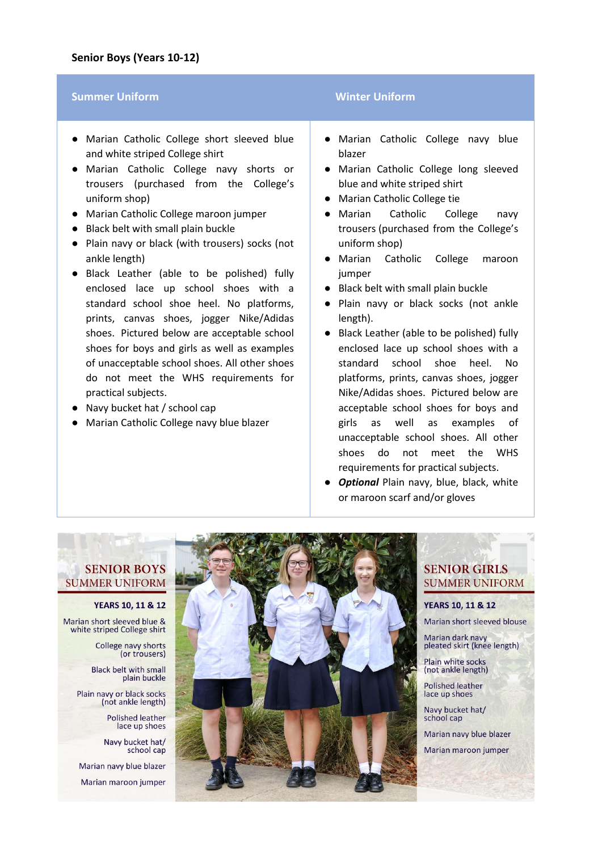#### **Summer Uniform <b>Winter Uniform Winter Uniform**

- Marian Catholic College short sleeved blue and white striped College shirt
- Marian Catholic College navy shorts or trousers (purchased from the College's uniform shop)
- Marian Catholic College maroon jumper
- Black belt with small plain buckle
- Plain navy or black (with trousers) socks (not ankle length)
- Black Leather (able to be polished) fully enclosed lace up school shoes with a standard school shoe heel. No platforms, prints, canvas shoes, jogger Nike/Adidas shoes. Pictured below are acceptable school shoes for boys and girls as well as examples of unacceptable school shoes. All other shoes do not meet the WHS requirements for practical subjects.
- Navy bucket hat / school cap
- Marian Catholic College navy blue blazer

- Marian Catholic College navy blue blazer
- Marian Catholic College long sleeved blue and white striped shirt
- Marian Catholic College tie
- Marian Catholic College navy trousers (purchased from the College's uniform shop)
- Marian Catholic College maroon jumper
- Black belt with small plain buckle
- Plain navy or black socks (not ankle length).
- Black Leather (able to be polished) fully enclosed lace up school shoes with a standard school shoe heel. No platforms, prints, canvas shoes, jogger Nike/Adidas shoes. Pictured below are acceptable school shoes for boys and girls as well as examples of unacceptable school shoes. All other shoes do not meet the WHS requirements for practical subjects.
- *Optional* Plain navy, blue, black, white or maroon scarf and/or gloves

#### **SENIOR BOYS SUMMER UNIFORM**

#### **YEARS 10, 11 & 12**

Marian short sleeved blue & white striped College shirt

> College navy shorts (or trousers)

**Black belt with small** plain buckle

Plain navy or black socks (not ankle length)

> **Polished leather** lace up shoes

Navy bucket hat/ school cap

Marian navy blue blazer

Marian maroon jumper



## **SENIOR GIRLS SUMMER UNIFORM**

**YEARS 10, 11 & 12** Marian short sleeved blouse

Marian dark navy pleated skirt (knee length)

Plain white socks (not ankle length)

**Polished leather** lace up shoes

Navy bucket hat/ school cap

Marian navy blue blazer

Marian maroon jumper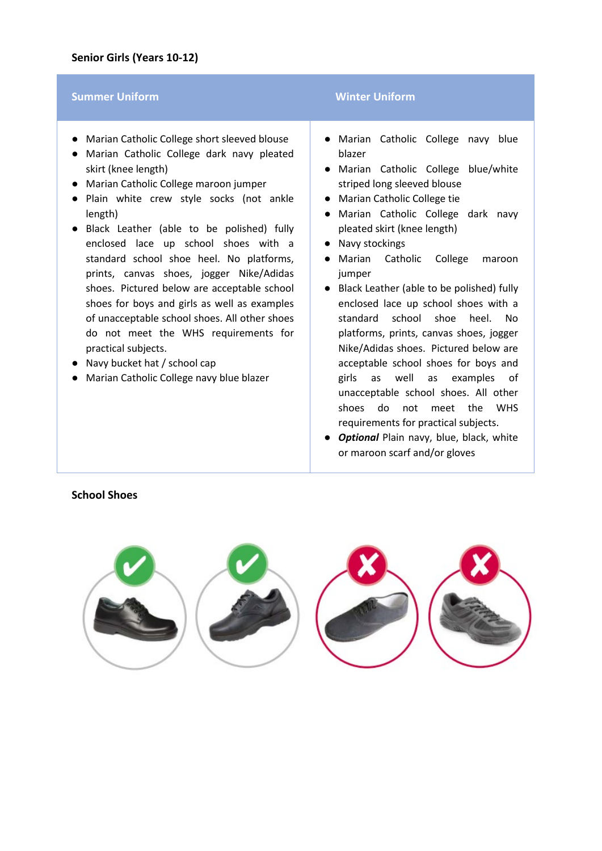#### **Summer Uniform <b>Winter Uniform Winter Uniform**

- Marian Catholic College short sleeved blouse
- Marian Catholic College dark navy pleated skirt (knee length)
- Marian Catholic College maroon jumper
- Plain white crew style socks (not ankle length)
- Black Leather (able to be polished) fully enclosed lace up school shoes with a standard school shoe heel. No platforms, prints, canvas shoes, jogger Nike/Adidas shoes. Pictured below are acceptable school shoes for boys and girls as well as examples of unacceptable school shoes. All other shoes do not meet the WHS requirements for practical subjects.
- Navy bucket hat / school cap
- Marian Catholic College navy blue blazer

- Marian Catholic College navy blue blazer
- Marian Catholic College blue/white striped long sleeved blouse
- Marian Catholic College tie
- Marian Catholic College dark navy pleated skirt (knee length)
- Navy stockings
- Marian Catholic College maroon jumper
- Black Leather (able to be polished) fully enclosed lace up school shoes with a standard school shoe heel. No platforms, prints, canvas shoes, jogger Nike/Adidas shoes. Pictured below are acceptable school shoes for boys and girls as well as examples of unacceptable school shoes. All other shoes do not meet the WHS requirements for practical subjects.
- *Optional* Plain navy, blue, black, white or maroon scarf and/or gloves



#### **School Shoes**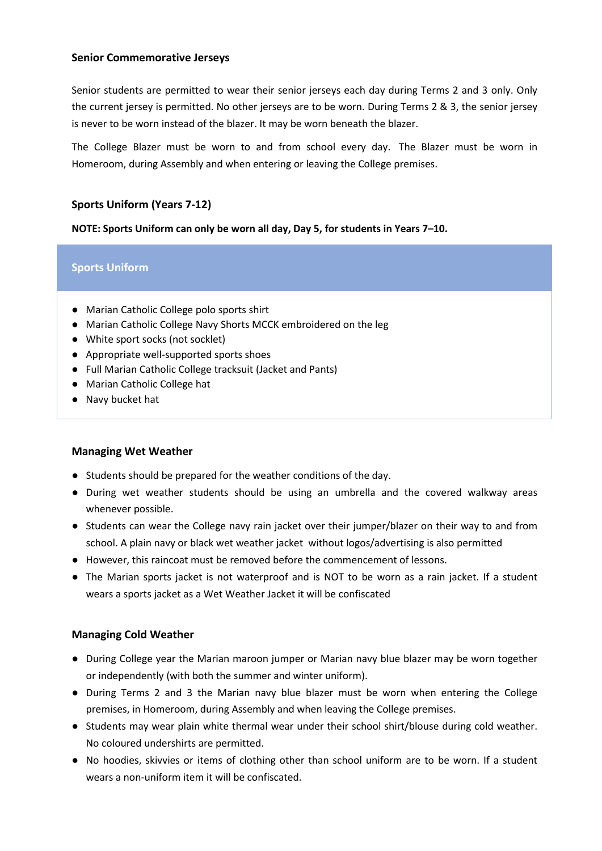#### **Senior Commemorative Jerseys**

Senior students are permitted to wear their senior jerseys each day during Terms 2 and 3 only. Only the current jersey is permitted. No other jerseys are to be worn. During Terms 2 & 3, the senior jersey is never to be worn instead of the blazer. It may be worn beneath the blazer.

The College Blazer must be worn to and from school every day. The Blazer must be worn in Homeroom, during Assembly and when entering or leaving the College premises.

### **Sports Uniform (Years 7-12)**

**NOTE: Sports Uniform can only be worn all day, Day 5, for students in Years 7–10.**

#### **Sports Uniform**

- Marian Catholic College polo sports shirt
- Marian Catholic College Navy Shorts MCCK embroidered on the leg
- White sport socks (not socklet)
- Appropriate well-supported sports shoes
- Full Marian Catholic College tracksuit (Jacket and Pants)
- Marian Catholic College hat
- Navy bucket hat

#### **Managing Wet Weather**

- Students should be prepared for the weather conditions of the day.
- During wet weather students should be using an umbrella and the covered walkway areas whenever possible.
- Students can wear the College navy rain jacket over their jumper/blazer on their way to and from school. A plain navy or black wet weather jacket without logos/advertising is also permitted
- However, this raincoat must be removed before the commencement of lessons.
- The Marian sports jacket is not waterproof and is NOT to be worn as a rain jacket. If a student wears a sports jacket as a Wet Weather Jacket it will be confiscated

#### **Managing Cold Weather**

- During College year the Marian maroon jumper or Marian navy blue blazer may be worn together or independently (with both the summer and winter uniform).
- During Terms 2 and 3 the Marian navy blue blazer must be worn when entering the College premises, in Homeroom, during Assembly and when leaving the College premises.
- Students may wear plain white thermal wear under their school shirt/blouse during cold weather. No coloured undershirts are permitted.
- No hoodies, skivvies or items of clothing other than school uniform are to be worn. If a student wears a non-uniform item it will be confiscated.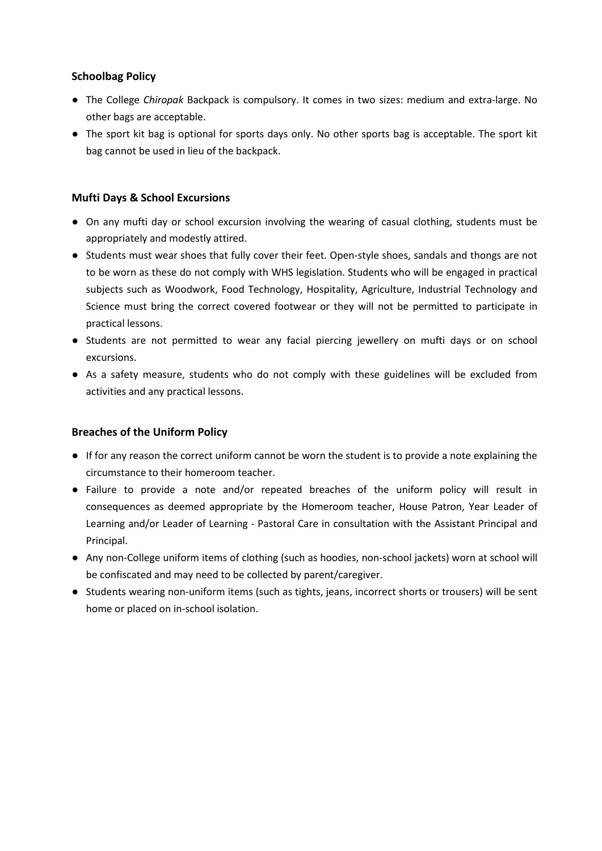### **Schoolbag Policy**

- The College *Chiropak* Backpack is compulsory. It comes in two sizes: medium and extra-large. No other bags are acceptable.
- The sport kit bag is optional for sports days only. No other sports bag is acceptable. The sport kit bag cannot be used in lieu of the backpack.

### **Mufti Days & School Excursions**

- On any mufti day or school excursion involving the wearing of casual clothing, students must be appropriately and modestly attired.
- Students must wear shoes that fully cover their feet. Open-style shoes, sandals and thongs are not to be worn as these do not comply with WHS legislation. Students who will be engaged in practical subjects such as Woodwork, Food Technology, Hospitality, Agriculture, Industrial Technology and Science must bring the correct covered footwear or they will not be permitted to participate in practical lessons.
- Students are not permitted to wear any facial piercing jewellery on mufti days or on school excursions.
- As a safety measure, students who do not comply with these guidelines will be excluded from activities and any practical lessons.

#### **Breaches of the Uniform Policy**

- If for any reason the correct uniform cannot be worn the student is to provide a note explaining the circumstance to their homeroom teacher.
- Failure to provide a note and/or repeated breaches of the uniform policy will result in consequences as deemed appropriate by the Homeroom teacher, House Patron, Year Leader of Learning and/or Leader of Learning - Pastoral Care in consultation with the Assistant Principal and Principal.
- Any non-College uniform items of clothing (such as hoodies, non-school jackets) worn at school will be confiscated and may need to be collected by parent/caregiver.
- Students wearing non-uniform items (such as tights, jeans, incorrect shorts or trousers) will be sent home or placed on in-school isolation.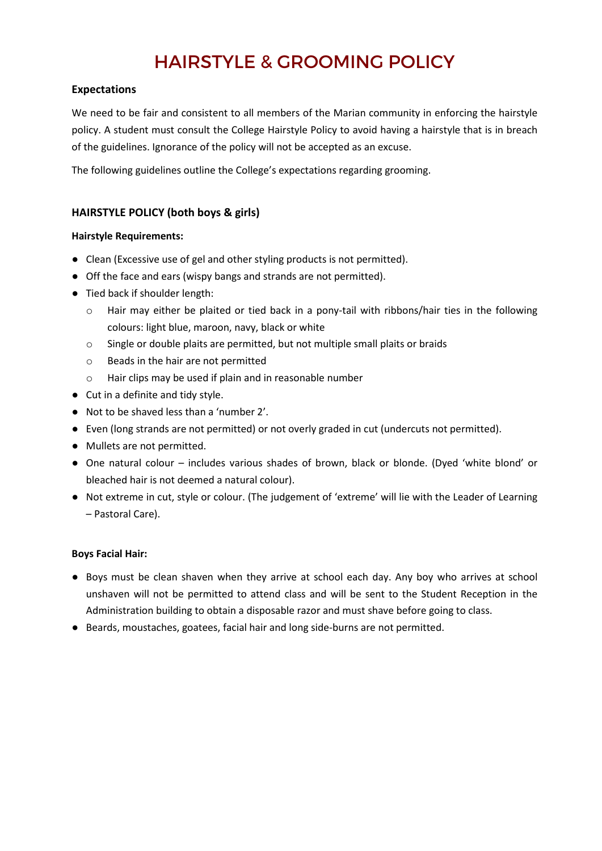# HAIRSTYLE & GROOMING POLICY

#### **Expectations**

We need to be fair and consistent to all members of the Marian community in enforcing the hairstyle policy. A student must consult the College Hairstyle Policy to avoid having a hairstyle that is in breach of the guidelines. Ignorance of the policy will not be accepted as an excuse.

The following guidelines outline the College's expectations regarding grooming.

### **HAIRSTYLE POLICY (both boys & girls)**

#### **Hairstyle Requirements:**

- Clean (Excessive use of gel and other styling products is not permitted).
- Off the face and ears (wispy bangs and strands are not permitted).
- Tied back if shoulder length:
	- o Hair may either be plaited or tied back in a pony-tail with ribbons/hair ties in the following colours: light blue, maroon, navy, black or white
	- o Single or double plaits are permitted, but not multiple small plaits or braids
	- o Beads in the hair are not permitted
	- o Hair clips may be used if plain and in reasonable number
- Cut in a definite and tidy style.
- Not to be shaved less than a 'number 2'.
- Even (long strands are not permitted) or not overly graded in cut (undercuts not permitted).
- Mullets are not permitted.
- One natural colour includes various shades of brown, black or blonde. (Dyed 'white blond' or bleached hair is not deemed a natural colour).
- Not extreme in cut, style or colour. (The judgement of 'extreme' will lie with the Leader of Learning – Pastoral Care).

#### **Boys Facial Hair:**

- Boys must be clean shaven when they arrive at school each day. Any boy who arrives at school unshaven will not be permitted to attend class and will be sent to the Student Reception in the Administration building to obtain a disposable razor and must shave before going to class.
- Beards, moustaches, goatees, facial hair and long side-burns are not permitted.